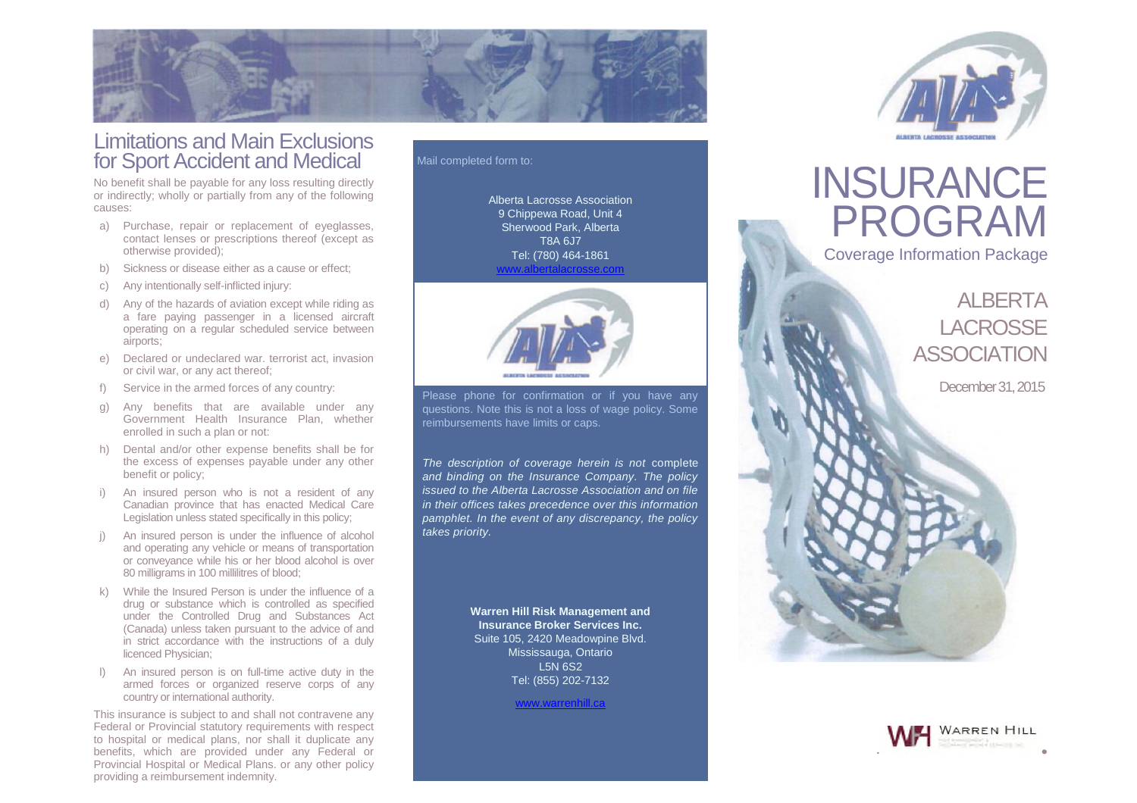

# Limitations and Main Exclusions for Sport Accident and Medical

No benefit shall be payable for any loss resulting directly or indirectly; wholly or partially from any of the following causes:

- a) Purchase, repair or replacement of eyeglasses, contact lenses or prescriptions thereof (except as otherwise provided);
- b) Sickness or disease either as a cause or effect;
- c) Any intentionally self-inflicted injury:
- d) Any of the hazards of aviation except while riding as a fare paying passenger in a licensed aircraft operating on a regular scheduled service between airports;
- e) Declared or undeclared war. terrorist act, invasion or civil war, or any act thereof;
- f) Service in the armed forces of any country:
- g) Any benefits that are available under any Government Health Insurance Plan, whether enrolled in such a plan or not:
- h) Dental and/or other expense benefits shall be for the excess of expenses payable under any other benefit or policy;
- i) An insured person who is not a resident of any Canadian province that has enacted Medical Care Legislation unless stated specifically in this policy;
- j) An insured person is under the influence of alcohol and operating any vehicle or means of transportation or conveyance while his or her blood alcohol is over 80 milligrams in 100 millilitres of blood;
- k) While the Insured Person is under the influence of a drug or substance which is controlled as specified under the Controlled Drug and Substances Act (Canada) unless taken pursuant to the advice of and in strict accordance with the instructions of a duly licenced Physician;
- l) An insured person is on full-time active duty in the armed forces or organized reserve corps of any country or international authority.

This insurance is subject to and shall not contravene any Federal or Provincial statutory requirements with respect to hospital or medical plans, nor shall it duplicate any benefits, which are provided under any Federal or Provincial Hospital or Medical Plans. or any other policy providing a reimbursement indemnity.

### Mail completed form to:

Alberta Lacrosse Association 9 Chippewa Road, Unit 4 Sherwood Park, Alberta T8A 6J7 Tel: (780) 464-1861 www.albertalacrosse.com



Please phone for confirmation or if you have any questions. Note this is not a loss of wage policy. Some reimbursements have limits or caps.

*The description of coverage herein is not* complete *and binding on the Insurance Company. The policy issued to the Alberta Lacrosse Association and on file in their offices takes precedence over this information pamphlet. In the event of any discrepancy, the policy takes priority.*

> **Warren Hill Risk Management and Insurance Broker Services Inc.** Suite 105, 2420 Meadowpine Blvd. Mississauga, Ontario L5N 6S2 Tel: (855) 202-7132

> > www.warrenhill.ca



# INSURANCE PROGRAM

Coverage Information Package

ALBERTA **LACROSSE** ASSOCIATION

December31,2015